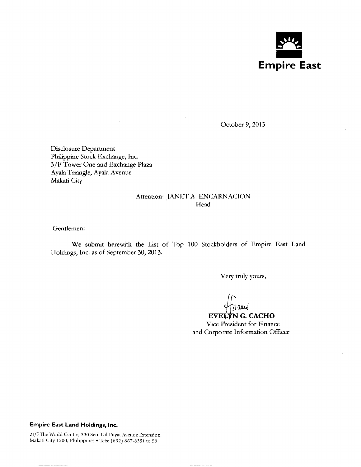

October 9, 2013

Disclosure Department Philippine Stock Exchange, Inc. 3/F Tower One and Exchange Plaza Ayala Triangle, Ayala Avenue Makati City

# Attention: JANET A. ENCARNACION Head

Gentlemen:

We submit herewith the List of Top 100 Stockholders of Empire East Land Holdings, Inc. as of September 30,2013.

Very truly yours,

*J£GJJLJ* 

--------------- - ---- ----------------------

# **EVELYN G. CACHO**

Vice President for Finance and Corporate Information Officer

### **Empire East Land Holdings, Inc.**

21/F The World Centre, 330 Sen. Gil Puyat Avenue Extension, Makati City 1200, Philippines • Tels: (632) 867-8351 to 59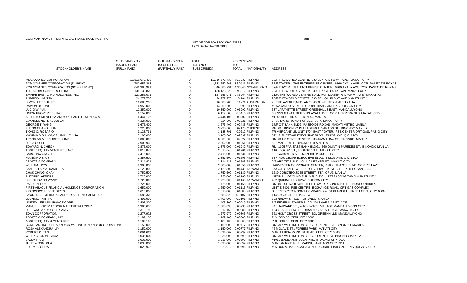#### LIST OF TOP 100 STOCKHOLDERSAs Of September 30, 2013

|                                                      | <b>OUTSTANDING &amp;</b><br><b>ISSUED SHARES</b> | <b>OUTSTANDING &amp;</b><br><b>ISSUED SHARES</b> | <b>TOTAL</b><br><b>HOLDINGS</b> | PERCENTAGE<br>TO.                                          |                                                                                                            |
|------------------------------------------------------|--------------------------------------------------|--------------------------------------------------|---------------------------------|------------------------------------------------------------|------------------------------------------------------------------------------------------------------------|
| STOCKHOLDER'S NAME                                   | (FULLY PAID)                                     | (PARTIALLY PAID)                                 | (SUBSCRIBED)                    | TOTAL NATIONALITY                                          | <b>ADDRESS</b>                                                                                             |
| MEGAWORLD CORPORATION                                | 11,816,672,438                                   |                                                  | 0                               | 11,816,672,438 79.8237 FILIPINO                            | 28/F THE WORLD CENTRE 330 SEN. GIL PUYAT AVE., MAKATI CITY                                                 |
| PCD NOMINEE CORPORATION (FILIPINO)                   | 1,782,652,268                                    |                                                  | $\overline{0}$                  | 1,782,652,268  12.0421 FILIPINO                            | 37/F TOWER I, THE ENTERPRISE CENTER, 6766 AYALA AVE. COR. PASEO DE ROXAS.                                  |
| PCD NOMINEE CORPORATION (NON-FILIPINO)               | 646,386,991                                      |                                                  | $\mathbf 0$                     | 646.386.991 4.36646 NON-FILIPINO                           | 37/F TOWER I, THE ENTERPRISE CENTER, 6766 AYALA AVE. COR. PASEO DE ROXAS,                                  |
| THE ANDRESONS GROUP INC.                             | 138,133,820                                      |                                                  | $\mathbf 0$                     | 138.133.820  0.93312 FILIPINO                              | 28/F THE WORLD CENTER 330 SEN GIL PUYAT AVE MAKATI CITY                                                    |
| EMPIRE EAST LAND HOLDINGS. INC.                      | 127.256.071                                      |                                                  | $\mathbf 0$                     | 127.256.071  0.85964 FILIPINO                              | 21/F. THE WORLD CENTRE BUILDING 330 SEN. GIL PUYAT AVE MAKATI CITY                                         |
| ANDREW LIM TAN                                       | 24.277.776                                       |                                                  | $\overline{0}$<br>24.277.776    | 0.164 FILIPINO                                             | 28/F THE WORLD CENTER 330 SEN GIL PUYAT AVE MAKATI CITY                                                    |
| SIMON LEE SUI HEE                                    | 16,685,206                                       |                                                  | $\mathbf 0$                     | 16,685,206  0.11271  AUSTRALIAN                            | 78 THE AVENUE; NEDLANDS 6009 WESTERN, AUSTRALIA                                                            |
| RAMON UY ONG                                         | 14,950,000                                       |                                                  | $\mathbf 0$                     | 14,950,000  0.10099 FILIPINO                               | #9 NAVARRO STREET CORINTHIAN GARDENS QUEZON CITY                                                           |
| LUCIO W. YAN                                         | 10,350,000                                       |                                                  | $\mathbf 0$                     | 10,350,000  0.06992 FILIPINO                               | 537 LAFAYETTE STREET GREENHILLS EAST, MANDALUYONG                                                          |
| UNION PROPERTIES INC.                                | 6,157,808                                        |                                                  | $\mathbf 0$                     | 6,157,808  0.0416 FILIPINO                                 | 6/F SSS MAKATI BUILDING AYALA AVE. COR. HERRERA STS. MAKATI CITY                                           |
| ALBERTO MENDOZA AND/OR JEANIE C. MENDOZA             | 4,444,106                                        |                                                  | $\Omega$                        | 4,444,106 0.03002 FILIPINO                                 | #1145 AGUILAR ST., TONDO, MANILA                                                                           |
| EVANGELINE R. ABDULLAH                               | 4,324,000                                        |                                                  | $\mathbf 0$                     | 4,324,000 0.02921 FILIPINO                                 | 3 HARVARD ROAD, FORBES PARK MAKATI CITY                                                                    |
| <b>GEORGE T. YANG</b>                                | 3,675,400                                        |                                                  | $\Omega$                        | 3,675,400  0.02483 FILIPINO                                | 17/F CITIBANK BLDG. PASEO DE ROXAS MAKATI METRO MANILA                                                     |
| ZHENG CHANG HUA                                      | 3,220,000                                        |                                                  | $\Omega$                        | 3,220,000 0.02175 CHINESE                                  | RM. 608 BINONDO PLAZA #850 ALVARADO ST., BINONDO MANILA                                                    |
| TIONG C. ROSARIO                                     | 3,138,791                                        |                                                  | $\Omega$                        | 3.138.791  0.0212 FILIPINO                                 | TR MERCANTILE, UNIT 1704 EAST TOWER, PSE CENTER ORTIGAS, PASIG CITY                                        |
| MAXIMINO S. UY &/OR LIM HUE HUA                      | 3.105.000                                        |                                                  | $\mathbf 0$                     | 3.105.000 0.02097 FILIPINO                                 | 6TH FLR. CEDAR EXECUTIVE BLDG. TIMOG AVE. Q.C. 1100                                                        |
| TRANS-ASIA SECURITIES. INC.                          | 3.000.000                                        |                                                  | $\mathbf 0$                     | 3.000.000 0.02027 FILIPINO                                 | RM, 601-S STATE CENTER 333 JUAN LUNA ST, BINONDO, MANILA                                                   |
| LUISA CO LI                                          | 2,902,908                                        |                                                  | $\mathsf 0$                     | 2,902,908  0.01961 FILIPINO                                | 627 MADRID ST., BINONDO MANILA                                                                             |
| EDWARD N. CHEOK                                      | 2,875,000                                        |                                                  | $\mathbf 0$                     | 2,875,000 0.01942 FILIPINO                                 | RM. 1005 FAR EAST BANK BLDG., 560 QUINTIN PAREDES ST., BINONDO MANILA                                      |
| ABOITIZ EQUITY VENTURES INC.                         | 2,813,843                                        |                                                  | $\mathsf 0$                     | 2,813,843  0.01901 FILIPINO                                | 110 LEGASPI ST., LEGASPI VILL. MAKATI CITY                                                                 |
| CAROLINA ONG YU                                      | 2,415,000                                        |                                                  | $\mathbf 0$                     | 2,415,000 0.01631 FILIPINO                                 | 931 SCHUYLER ST., MANDALUYONG CITY                                                                         |
| MAXIMINO S. UY                                       | 2,357,500                                        |                                                  | $\mathbf 0$                     | 2,357,500 0.01593 FILIPINO                                 | 6TH FLR. CEDAR EXECUTIVE BLDG. TIMOG AVE. Q.C. 1100                                                        |
| <b>ABOITIZ &amp; COMPANY</b>                         | 2,314,421                                        |                                                  | $\Omega$                        | 2,314,421  0.01563 FILIPINO                                | 2/F ABOITIZ BUILDING 110 LEGASPI ST., MAKATI CITY                                                          |
| <b>WILLIAM HOW</b>                                   | 2,300,000                                        |                                                  | $\mathbf 0$                     | 2.300.000  0.01554 FILIPINO                                | HARVESTER CORPORATE CENTER, 158 P. TUAZON BLVD. COR. 7TH AVE.,                                             |
| SAN-TEH A.K.A. DANIE LAI                             | 2,129,800                                        |                                                  | $\Omega$                        | 2,129,800  0.01439 TAIWANESE                               | 3A GOLDLAND TWR, 10 EISENHOWEER ST., GREENHILLS SAN JUAN                                                   |
| CHAK CHING CHAN                                      | 1,759,500                                        |                                                  | $\Omega$                        | 1,759,500  0.01189  FILIPINO                               | 1539 DOROTEO JOSE STREET STA. CRUZ, MANILA                                                                 |
| ANTONIO ABRERA                                       | 1,725,000                                        |                                                  | $\Omega$                        | 1,725,000  0.01165  FILIPINO                               | INFOMAN, GROUND FLR. MJL BLDG. 1175 PASONG TAMO MAKATI CITY                                                |
| <b>CHIN HSIANG WANG</b>                              | 1,725,000                                        |                                                  |                                 | 1.725.000  0.01165 TAIWANESE                               | 422 QUIRINO HIGHWAY QUEZON CITY                                                                            |
| PABLO N. PUA                                         | 1,725,000                                        |                                                  | $\mathbf 0$                     | 1,725,000 0.01165 FILIPINO                                 | RM. 803 CHINATOWN STEEL TOWER ASUNCION ST., BINONDO MANILA                                                 |
| FIRST ABACUS FINANCIAL HOLDINGS CORPORATION          | 1,650,000                                        |                                                  | $\Omega$                        | 1,650,000  0.01115  FILIPINO                               | UNIT E-3001, PSE CENTRE EXCHANGE ROAD, ORTIGAS COMPLEX                                                     |
| FRANCISCO L. BENEDICTO                               | 1,610,000                                        |                                                  | $\mathbf 0$                     | 1,610,000  0.01088 FILIPINO                                | B. BENEDICTO & SONS COMPANY 99-101 PLARIDEL STREET CEBU CITY 6000                                          |
| LAWRENCE MENDOZA AND/OR ALBERTO MENDOZA              | 1,583,320                                        |                                                  | $\Omega$<br>$\Omega$            | 1,583,320  0.0107 FILIPINO                                 | 1145 AGUILAR ST. MANILA                                                                                    |
| LEONCIO TAN TIU<br>UNITED LIFE ASSURANCE CORP.       | 1,495,000                                        |                                                  | $\mathbf 0$                     | 1,495,000  0.0101 FILIPINO                                 | 522 NUEVA STREET BINONDO, MANILA                                                                           |
| MANUEL LOPEZ AND/OR MA. TERESA LOPEZ                 | 1,405,300<br>1,380,638                           |                                                  | $\mathbf 0$                     | 1,405,300  0.00949 FILIPINO<br>1.380.638  0.00933 FILIPINO | 6/F FEDERAL TOWER BLDG. DASMARINAS ST. COR.                                                                |
| LUIS ANG AND/OR LISA ANG                             | 1,312,150                                        |                                                  | $\mathbf 0$                     | 1,312,150 0.00886 FILIPINO                                 | 841 HARVARD ST., WACK-WACK VILLAGE, MANDALUYONG CITY<br>1333 CABALLERO ST. DASMARINAS VILLAGE, MAKATI CITY |
| <b>EDAN CORPORATION</b>                              | 1.277.972                                        |                                                  | $\mathbf 0$                     | 1.277.972 0.00863 FILIPINO                                 |                                                                                                            |
|                                                      |                                                  |                                                  | $\mathbf 0$                     |                                                            | 562 HOLY CROSS STREET BO. GREENHILLS, MANDALUYONG                                                          |
| ABOITIZ & COMPANY, INC.<br>ABOITIZ EQUITY & VENTURES | 1,189,100                                        |                                                  | $\mathbf 0$                     | 1,189,100  0.00803 FILIPINO<br>1.189.100  0.00803 FILIPINO | P.O. BOX 65 CEBU CITY 6000<br>P.O. BOX 65 CEBU CITY 6000                                                   |
| CONSTANTINO CHUA AND/OR WILLINGTON AND/OR GEORGE WY  | 1,189,100                                        |                                                  | $\mathsf 0$                     | 1,150,000 0.00777 FILIPINO                                 | RM. 307 WELLINGTON BLDG., ORIENTE ST., BINONDO, MANILA                                                     |
| ROSA ALEXANDRA UY                                    | 1,150,000                                        |                                                  | $\overline{0}$                  | 1,150,000 0.00777 FILIPINO                                 | #6 MOLAVE ST., FORBES PARK MAKATI CITY                                                                     |
| ROBERT C. TAN                                        | 1,150,000<br>1,094,662                           |                                                  | $\mathbf 0$                     | 1,094,662  0.00739 FILIPINO                                | MARIA LUISA PARK, BANILAD CEBU CITY 6000                                                                   |
| <b>WILLINGTON W. CHUA</b>                            | 1,035,000                                        |                                                  | $\Omega$                        | 1,035,000  0.00699 FILIPINO                                | RM. 307 WELLINGTON BLDG. ORIENTE ST. BINONDO MANILA                                                        |
| SALLY T. GO                                          | 1,035,000                                        |                                                  | $\mathbf 0$                     | 1,035,000  0.00699 FILIPINO                                | #1010 BASILAN, INSULAR VILL.II DAVAO CITY 8000                                                             |
| JULIE WONG PUA                                       | 1,035,000                                        |                                                  | $\Omega$                        | 1,035,000  0.00699 FILIPINO                                | MANLAR RICE MILL MABINI, SANTIAGO CITY 3311                                                                |
| FLORA B. CHUA                                        | 1,028,972                                        |                                                  | $\Omega$                        | 1,028,972  0.00695 FILIPINO                                | #35 DON V. MADRIGAL AVENUE CORINTHIAN GARDENS, QUEZON CITY                                                 |
|                                                      |                                                  |                                                  |                                 |                                                            |                                                                                                            |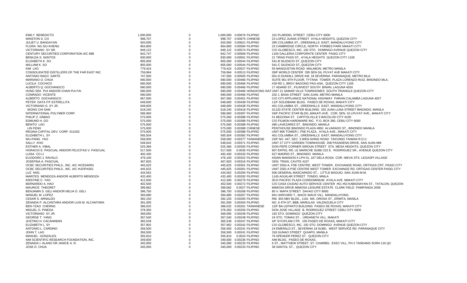| <b>EMILY BENEDICTO</b>                         | 1,000,000 | $\Omega$ | 1,000,000  0.00676 FILIPINO | 101 PLARIDEL STREET CEBU CITY 6000                                                    |
|------------------------------------------------|-----------|----------|-----------------------------|---------------------------------------------------------------------------------------|
| WINSTON S. CO                                  | 998.707   | $\Omega$ | 998.707 0.00675 CHINESE     | 23 LOPEZ JUANA STREET AYALA HEIGHTS, QUEZON CITY                                      |
| JULIET U. BANGAYAN                             | 920,000   | $\Omega$ | 920,000  0.00621 FILIPINO   | 395 COLUMBIA ST., GREENHILLS EAST, MANDALUYONG CITY                                   |
| <b>FLORA NG SIU KHENG</b>                      | 864,800   |          | 864,800 0.00584 FILIPINO    | 23 CAMBRIDGE CIRCLE, NORTH FORBES PARK MAKATI CITY                                    |
| VICTORIANO SY SR.                              | 849,122   | $\Omega$ | 849,122 0.00574 FILIPINO    | C/O GLOBESCO, INC. 192 STO. DOMINGO AVENUE QUEZON CITY                                |
| CENTURY SECURITIES CORPORATION A/C 888         | 842,747   | $\Omega$ | 842,747 0.00569 FILIPINO    | 1105 GALLERIA CORPORATE CENTER PASIG CITY                                             |
| <b>BENILDA S. SANTOS</b>                       | 830,000   |          | 830,000  0.00561 FILIPINO   | 21 TIRAD PASS ST., AYALA HEIGHTS QUEZON CITY 1100                                     |
| ELIZABETH K. SO                                | 805,000   |          | 805,000  0.00544 FILIPINO   | 541-B SILENCIO ST., QUEZON CITY                                                       |
| <b>WILLIAM K. SO</b>                           | 805,000   |          | 805,000  0.00544 FILIPINO   | 541-C SILENCIO ST., QUEZON CITY                                                       |
| <b>KIM LAO</b>                                 | 779,424   |          | 779,424 0.00527 FILIPINO    | 55 MANGUSTAN ROAD MALABON, METRO MANILA                                               |
| CONSOLIDATED DISTILLERS OF THE FAR EAST INC.   | 759,964   |          | 759,964 0.00513 FILIPINO    | 28/F WORLD CENTER 330 SEN GIL PUYAT AVE MAKATI CITY                                   |
| ANTONIO INIGO SARTE                            | 747,500   |          | 747,500 0.00505 FILIPINO    | 001-D DUNHILL DRIVE KM. 18 SEVERINA PARANAQUE, METRO MLA.                             |
| MARIANO O. CHUA                                | 690,000   |          | 690,000 0.00466 FILIPINO    | SUITE 901 9TH FLOOR, TYTANA TOWER, PLAZA LORENZO RUIZ, BINONDO MLA.                   |
|                                                |           | $\Omega$ |                             |                                                                                       |
| LUCILA COCHICO                                 | 690,000   |          | 690,000 0.00466 FILIPINO    | #29 RD 1, BRGY BAGONG PAG-ASA, QUEZON CITY 1105                                       |
| ALBERTO Q. GOCHANGCO                           | 690,000   |          | 690,000 0.00466 FILIPINO    | 17 ADAMS ST., FILINVEST SOUTH BINAN, LAGUNA 4024                                      |
| HUNG SEK PUI AND/OR CHAN PUI FAI               | 690,000   |          |                             | 690,000 0.00466 HONGKONG NAT UNIT 21 SAMAR VILLE TOWNHOMES SOUTH TRIANGLE QUEZON CITY |
| CONRADO VICENTE                                | 690,000   |          | 690,000 0.00466 FILIPINO    | 202 J. BASA STREET SAN JUAN, METRO MANILA                                             |
| ALBERTO GOCHANGCO                              | 667.000   |          | 667.000  0.00451 FILIPINO   | C/O CITI APPLIANCE NATIONAL HIGHWAY PARIAN CALAMBA LAGUNA 4027                        |
| PETER DATA ITF ESTRELLITA                      | 648,600   |          | 648,600 0.00438 FILIPINO    | 11/F SOLIDBANK BLDG. PASEO DE ROXAS, MAKATI CITY                                      |
| VICTORIANO G. SY JR.                           | 648,600   |          | 648,600 0.00438 FILIPINO    | 401 COLUMBIA ST., GREENHILLS EAST, MANDALUYONG CITY                                   |
| <b>WONG CHI SAM</b>                            | 618,240   |          | 618,240 0.00418 FILIPINO    | S1120 STATE CENTER BUILDING 333 JUAN LUNA STREET BINONDO, MANILA                      |
| INTERNATIONAL POLYMER CORP.                    | 586,960   |          | 586,960  0.00397  FILIPINO  | 26/F PACIFIC STAR BLDG., MAKATI AVE. COR. SEN. GI LPUYAT AVE., MAKATI CITY            |
| PHILIP Z. DABAO                                | 575,000   |          | 575,000  0.00388 FILIPINO   | #1 BEGONIA ST. CAPITOLVILLE II BACOLOD CITY 6100                                      |
| EDMUND H. GO                                   | 575,000   |          | 575,000  0.00388 FILIPINO   | C/O FILMON HARDWARE INC. P.O. BOX 390, CEBU CITY 6000                                 |
| <b>BENITO LAO</b>                              | 575,000   |          | 575,000  0.00388 FILIPINO   | 485 LAVEZARES ST. BINONDO, MANILA                                                     |
| <b>LIN FENG</b>                                | 575,000   |          | 575,000 0.00388 CHINESE     | PENTHOUSE BINONDO PLAZA #850 ALVARADO ST., BINONDO MANILA                             |
| REGINA CAPITAL DEV. CORP. 011032               | 575.000   |          | 575.000 0.00388 FILIPINO    | UNIT 806 TOWER I. PSE PLAZA. AYALA AVE., MAKATI CITY                                  |
| ELIZABETH L. SY                                | 565,504   |          | 565,504 0.00382 FILIPINO    | 401 COLUMBIA ST., GREENHILLS EAST, MANDALUYONG CITY                                   |
| <b>WU-PANG YAO</b>                             | 558,000   |          | 558,000 0.00377 TAIWANESE   | 23/F NO. 447, SEC. 3 WEN-SHING ROAD TAICHING TAIWAN R.O.C.                            |
| SALLY KHO                                      | 548,642   | $\Omega$ | 548,642 0.00371 FILIPINO    | UNIT 27 CITY GARDEN TOWNHOUSE 208 PASADENA DRIVE, SAN JUAN MM                         |
| <b>ESTHER A. VIBAL</b>                         | 525,366   |          | 525,366 0.00355 FILIPINO    | DON PEPE CORNER SIROUN STREET STA. MESA HEIGHTS, QUEZON CITY                          |
| HORACIO E. PASCUAL AND/OR FELICITAS V. PASCUAL | 517,500   |          | 517,500  0.0035 FILIPINO    | 907 EIFFEL RD. LE MARICHE SUBD 222 E. RODRIGUEZ SR., AVENUE QUEZON CITY               |
| LUISA CO LI                                    | 492,430   |          | 492,430  0.00333 FILIPINO   | 627 MADRID ST., BINONDO MANILA                                                        |
| ELIODORO J. RAVALO                             | 476,100   |          | 476,100 0.00322 FILIPINO    | ASIAN MANSION II LPH 01, 107 DELA ROSA COR. NIEVA STS. LEGASPI VILLAGE                |
| JOSEFINA A. PASCUAL                            | 467,820   |          | 467,820 0.00316 FILIPINO    | GEN. TRIAS, CAVITE 4107                                                               |
| OCBC SECURITIES PHILS., INC. A/C #ICESAR01     | 445,625   |          | 445,625 0.00301 FILIPINO    | UNIT 2502-A, PSE CENTRE, WEST TOWER, EXCHANGE ROAD, ORTIGAS CRT, PASIG CITY           |
| OCBC SECURITIES PHILS., INC. A/C #IJOPAS01     | 445,625   | $\Omega$ | 445,625  0.00301 FILIPINO   | UNIT 2502-A PSE CENTRE WEST TOWER EXCHANGE RD. ORTIGAS CENTER PASIG CITY              |
| LUZ ANG                                        | 434,562   |          | 434,562 0.00294 FILIPINO    | 506 GENERAL MASCARADO ST., LITTLE BAGUIO, SAN JUAN M.M.                               |
| MARITES MENDOZA AND/OR ALBERTO MENDOZA         | 432,400   |          | 432,400 0.00292 FILIPINO    | 1145 AGUILAR STREET TONDO, MNILA                                                      |
| <b>KRISTINE C. YAO</b>                         | 412.500   |          | 412,500 0.00279 FILIPINO    | 30-D PACIFIC PLAZA CONDOMINIUM AYALA AVE. MAKATI CITY                                 |
| BERNARDO A. HAO                                | 402.500   |          | 402,500 0.00272 FILIPINO    | C/O CASA CIUDAD AUTO SERVICE CENTER #51 #53 KABIGNAYAN ST., TATALON, QUEZON           |
| <b>MAURICE THEORET</b>                         | 399,682   |          | 399,682  0.0027 FILIPINO    | MIMOSA DRIVE MIMOSA LEISURE ESTATE CLARK FIELD PAMPANGA 2009                          |
| BENJAMIN S. GELI AND/OR NELIA O. GELI          | 396,750   |          | 396,750  0.00268 FILIPINO   | 80 V. MAPA STREET DAVAO CITY 8000                                                     |
| MANUEL M. LOPEZ                                | 394,680   |          | 394,680 0.00267 FILIPINO    | 841 HARVARD T., WACK WACK VILL MANDALUYONG                                            |
| <b>CESAR S. ARNALDO</b>                        | 392,150   |          | 392,150 0.00265 FILIPINO    | RM. 303 NBV BLDG., 1191 MA. OROSA ST., ERMITA, MANILA                                 |
| ZENAIDA P. ALCANTARA AND/OR LUIS M. ALCANTARA  | 391,000   |          | 391,000  0.00264 FILIPINO   | NO. 6 4TH ST, BBB, MARULAS VALENZUELA CITY                                            |
| <b>BEN-TZAO CHERNG</b>                         | 386,032   |          | 386,032  0.00261 TAIWANESE  | 12/F BA-LEPANTO BUILDING PASEO DE ROXAS, MAKATI CITY                                  |
| MIGUEL O. PINEDA                               | 378,350   |          | 378,350 0.00256 FILIPINO    | DON JOSE VILLAGE B. RODRIGUEZ STREET CEBU CITY 6000                                   |
| VICTORIANO SY JR.                              | 369,095   |          | 369,095  0.00249 FILIPINO   | 192 STO. DOMINGO QUEZON CITY                                                          |
| <b>GEORGE T. YANG</b>                          | 367,540   |          | 367,540  0.00248 FILIPINO   | 24 STO. TOMAS ST., URDANETA VILL. MAKATI                                              |
| JUSTINO H. CACANINDIN                          | 365,539   | $\Omega$ | 365,539 0.00247 FILIPINO    | 4/F SYCIPLAW CTR. 105 PASEO DE ROXAS, MAKATI CITY                                     |
| ELIZABETH L. SY                                | 357,902   |          | 357,902 0.00242 FILIPINO    | C/O GLOBESCO, INC. 192 STO. DOMINGO AVENUE QUEZON CITY                                |
| ANTONIO L. CARDINO                             | 356,500   |          | 356,500  0.00241 FILIPINO   | 24 EMERALD ST., SEVERINA 18 SUBD. WEST SERVICE RD. PARANAQUE CITY                     |
| JOHN T. LAO                                    | 356,500   |          | 356,500  0.00241 FILIPINO   | 318 GUNAO STREET QUIAPO, MANILA                                                       |
| MANUEL GONZALES                                | 355,810   |          | 355,810  0.0024 FILIPINO    | 76 SPEAKER PEREZ ST. QUEZON CITY                                                      |
| AIM SCIENTIFIC RESEARCH FOUNDATION. INC.       | 349,600   |          | 349,600 0.00236 FILIPINO    | AIM BLDG. PASEO DE ROXAS.                                                             |
| ZENAIDA I. ALANO OR JANICE A. R.               | 345,000   |          | 345,000 0.00233 FILIPINO    | 6 ST., MATTHEW STREET, ST. CHARBEL EXEC VILL, PH 2 TANDANG SORA 116 QC                |
| JOSE D. CHUA                                   | 345,000   | $\Omega$ | 345,000  0.00233 FILIPINO   | 38 SANTOL ST., QUEZON CITY                                                            |
|                                                |           |          |                             |                                                                                       |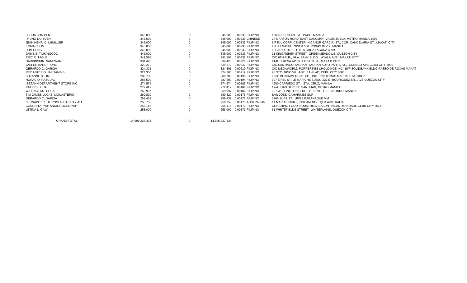| CHUA BON PEN                         | 345,000        |              | 345.000 0.00233 FILIPINO     | 1363 PEDRO GIL ST. PACO, MANILA                                                  |
|--------------------------------------|----------------|--------------|------------------------------|----------------------------------------------------------------------------------|
| <b>HUNG LAI YUEN</b>                 | 345,000        |              | 345.000 0.00233 CHINESE      | 24 MARTON ROAD, EAST CANUMAY VALENZUELA, METRO MANILA 1469                       |
| JEAN HENRI D. LHUILLIER              | 345,000        |              | 345.000 0.00233 FILIPINO     | 6/F PJL CORP. CENTER, NICANOR GARCIA ST., COR. CANDELARIA ST., MAKATI CITY       |
| EMMA C. LIM                          | 345,000        |              | 345,000 0.00233 FILIPINO     | 20H LEGASPI TOWER 300 ROXAS BLVD., MANILA                                        |
| <b>LIM HENG</b>                      | 345,000        |              | 345,000 0.00233 FILIPINO     | F. SARIO STREET STA CRUZ LAGUNA 4009                                             |
| JAIME S. TIUKINGCOC                  | 345,000        |              | 345,000 0.00233 FILIPINO     | 11 KINGFISHER STREET GREENMEADOWS, QUEZON CITY                                   |
| ERIC R. TAGLE                        | 341,596        |              | 341,596  0.00231 FILIPINO    | C/O 6TH FLR., MLA. BANK BLDG., AYALA AVE., MAKATI CITY                           |
| HARKINSHIN NANDWANI                  | 334,420        |              | 334.420 0.00226 FILIPINO     | #1-K TERESA APTS. EDISON ST., MAKATI CITY                                        |
| JASPER KARL T. ONG                   | 329,272        |              | 329.272 0.00222 FILIPINO     | C/O SANTIAGO TACHAN. TACHAN AUTO PARTS M.J. CUENCO AVE CEBU CITY 6000            |
| GERARDO C. GARCIA                    | 324,301        |              | 324,301 0.00219 FILIPINO     | C/O MEGAWORLD PORPERTIES & HOLDINGS INC 16/F SOLIDBANK BLDG PASEO DE ROXAS MAKAT |
| REY ASTERIO LIM TAMBIS               | 324,300        |              | 324.300 0.00219 FILIPINO     | #5 STO, NINO VILLAGE BANILAD, CEBU CITY 6000                                     |
| SUZANNE S. LIM                       | 289,708        |              | 289.708 0.00196 FILIPINO     | LINTON COMMERCIAL CO., INC. 628 TOMAS MAPUA, STA, CRUZ                           |
| HORACIO PASCUAL                      | 287,500        |              | 287.500  0.00194 FILIPINO    | 907 EIFEL ST. LE MARICHE SUBD. 222 E. RODRIGUEZ SR., AVE QUEZON CITY             |
| <b>ISETANN DEPARTMENT STORE INC.</b> | 274,574        |              | 274,574 0.00185 FILIPINO     | #600 CARRIEDO ST., STA. CRUZ, MANILA                                             |
| PATRICK CUA                          | 272,412        |              | 272.412  0.00184 FILIPINO    | 19-A JUAN STREET SAN JUAN. METRO MANILA                                          |
| WILLINGTON CHUA                      | 269,997        |              | 269,997  0.00182 FILIPINO    | 307 WELLINGTON BLDG. ORIENTE ST., BINONDO, MANILA                                |
| TIM JAMES LUCAS MONASTERIO           | 260,820        |              | 260.820 0.00176 FILIPINO     | SAN JOSE, CAMARINES SUR                                                          |
| <b>GERARDO C. GARCIA</b>             | 259,439        |              | 259.439 0.00175 FILIPINO     | 3266 SUPA ST. UPS 2 PARANAQUE MM                                                 |
| BERNADETTE TURNOUR ITF LUAY ALL      | 258,750        |              | 258.750  0.00175  AUSTRALIAN | 14 MARIA COURT, INGHAM 4850 QLD AUSTRALIA                                        |
| CONCHITA YAP AND/OR JOSE YAP         | 255,116        |              | 255.116  0.00172  FILIPINO   | CONCHING FOOD INDUSTRIES CASUNTINGAN, MANDAUE CEBU CITY 6014                     |
| LETINA L. GAW                        | 253,000        |              | 253.000 0.00171 FILIPINO     | 31 WHITEFIELDS STREET WHITEPLAINS, QUEZON CITY                                   |
|                                      |                |              |                              |                                                                                  |
| <b>GRAND TOTAL</b>                   | 14,696,227,434 | $\mathbf{0}$ | 14,696,227,434               |                                                                                  |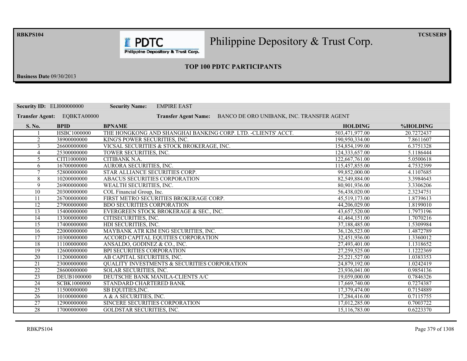**RBKPS104** 

Philippine Depository & Trust Corp.

 $TCSUSER9$ 

Philippine Depository & Trust Corp.

**I** PDTC

# **23 TOP 100 PDTC PARTICIPANTS**

**Business Date** 09/30/2013

| <b>Security ID: ELI000000000</b> |                    | <b>EMPIRE EAST</b><br><b>Security Name:</b>                              |                |            |
|----------------------------------|--------------------|--------------------------------------------------------------------------|----------------|------------|
| <b>Transfer Agent:</b>           | EQBKTA00000        | BANCO DE ORO UNIBANK, INC. TRANSFER AGENT<br><b>Transfer Agent Name:</b> |                |            |
| S. No.                           | <b>BPID</b>        | <b>BPNAME</b>                                                            | <b>HOLDING</b> | %HOLDING   |
|                                  | HSBC1000000        | THE HONGKONG AND SHANGHAI BANKING CORP. LTD. - CLIENTS' ACCT.            | 503,471,977.00 | 20.7272437 |
| $\overline{2}$                   | 38900000000        | KING'S POWER SECURITIES, INC.                                            | 190,950,334.00 | 7.8611607  |
| 3                                | 26600000000        | VICSAL SECURITIES & STOCK BROKERAGE, INC.                                | 154,854,199.00 | 6.3751328  |
| 4                                | 25300000000        | TOWER SECURITIES, INC.                                                   | 124,333,657.00 | 5.1186444  |
| 5                                | CITI1000000        | CITIBANK N.A.                                                            | 122,667,761.00 | 5.0500618  |
| 6                                | 16700000000        | AURORA SECURITIES, INC.                                                  | 115,457,855.00 | 4.7532399  |
| $\tau$                           | 52800000000        | STAR ALLIANCE SECURITIES CORP.                                           | 99,852,000.00  | 4.1107685  |
| 8                                | 10200000000        | ABACUS SECURITIES CORPORATION                                            | 82,549,884.00  | 3.3984643  |
| 9                                | 26900000000        | WEALTH SECURITIES, INC.                                                  | 80,901,936.00  | 3.3306206  |
| 10                               | 20300000000        | COL Financial Group, Inc.                                                | 56,438,020.00  | 2.3234751  |
| 11                               | 26700000000        | FIRST METRO SECURITIES BROKERAGE CORP.                                   | 45,519,173.00  | 1.8739613  |
| $\overline{12}$                  | 27900000000        | <b>BDO SECURITIES CORPORATION</b>                                        | 44,206,029.00  | 1.8199010  |
| 13                               | 15400000000        | EVERGREEN STOCK BROKERAGE & SEC., INC.                                   | 43,657,520.00  | 1.7973196  |
| 14                               | 13300000000        | CITISECURITIES, INC.                                                     | 41,464,151.00  | 1.7070216  |
| $\overline{15}$                  | 17400000000        | HDI SECURITIES, INC.                                                     | 37,188,485.00  | 1.5309984  |
| $\overline{16}$                  | 22000000000        | MAYBANK ATR KIM ENG SECURITIES, INC.                                     | 36,126,523.00  | 1.4872789  |
| 17                               | 10300000000        | ACCORD CAPITAL EQUITIES CORPORATION                                      | 32,451,936.00  | 1.3360012  |
| 18                               | 11100000000        | ANSALDO, GODINEZ & CO., INC.                                             | 27,493,401.00  | 1.1318652  |
| 19                               | 12600000000        | <b>BPI SECURITIES CORPORATION</b>                                        | 27,259,525.00  | 1.1222369  |
| $\overline{20}$                  | 11200000000        | AB CAPITAL SECURITIES, INC.                                              | 25.221.527.00  | 1.0383353  |
| 21                               | 23000000000        | <b>QUALITY INVESTMENTS &amp; SECURITIES CORPORATION</b>                  | 24,879,192.00  | 1.0242419  |
| $\overline{22}$                  | 28600000000        | SOLAR SECURITIES, INC.                                                   | 23,936,041.00  | 0.9854136  |
| $\overline{23}$                  | DEUB1000000        | DEUTSCHE BANK MANILA-CLIENTS A/C                                         | 19,059,000.00  | 0.7846326  |
| 24                               | <b>SCBK1000000</b> | STANDARD CHARTERED BANK                                                  | 17,669,740.00  | 0.7274387  |
| $\overline{25}$                  | 11500000000        | SB EQUITIES, INC.                                                        | 17,379,474.00  | 0.7154889  |
| 26                               | 10100000000        | A & A SECURITIES, INC.                                                   | 17,284,416.00  | 0.7115755  |
| $\overline{27}$                  | 12900000000        | SINCERE SECURITIES CORPORATION                                           | 17,012,285.00  | 0.7003722  |
| $\overline{28}$                  | 17000000000        | <b>GOLDSTAR SECURITIES, INC.</b>                                         | 15,116,783.00  | 0.6223370  |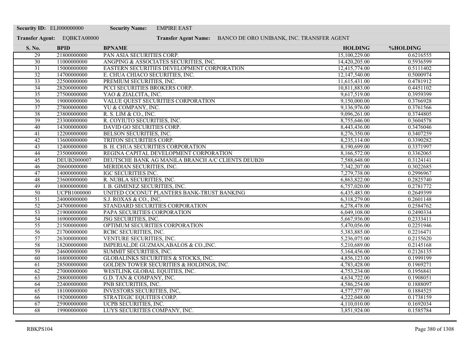| <b>Security ID: ELI000000000</b> |                             | <b>Security Name:</b><br><b>EMPIRE EAST</b>                    |                |           |
|----------------------------------|-----------------------------|----------------------------------------------------------------|----------------|-----------|
|                                  | Transfer Agent: EQBKTA00000 | Transfer Agent Name: BANCO DE ORO UNIBANK, INC. TRANSFER AGENT |                |           |
| S. No.                           | <b>BPID</b>                 | <b>BPNAME</b>                                                  | <b>HOLDING</b> | %HOLDING  |
| 29                               | 21800000000                 | PAN ASIA SECURITIES CORP.                                      | 15,100,229.00  | 0.6216555 |
| 30                               | 11000000000                 | ANGPING & ASSOCIATES SECURITIES, INC.                          | 14,420,205.00  | 0.5936599 |
| $\overline{31}$                  | 15000000000                 | EASTERN SECURITIES DEVELOPMENT CORPORATION                     | 12,415,774.00  | 0.5111402 |
| $\overline{32}$                  | 14700000000                 | E. CHUA CHIACO SECURITIES, INC.                                | 12,147,540.00  | 0.5000974 |
| $\overline{33}$                  | 22500000000                 | PREMIUM SECURITIES, INC.                                       | 11,615,431.00  | 0.4781912 |
| $\overline{34}$                  | 28200000000                 | PCCI SECURITIES BROKERS CORP.                                  | 10,811,883.00  | 0.4451102 |
| $\overline{35}$                  | 27500000000                 | YAO & ZIALCITA, INC.                                           | 9,617,519.00   | 0.3959399 |
| $\overline{36}$                  | 19000000000                 | VALUE QUEST SECURITIES CORPORATION                             | 9,150,000.00   | 0.3766928 |
| $\overline{37}$                  | 27800000000                 | YU & COMPANY, INC.                                             | 9,136,976.00   | 0.3761566 |
| 38                               | 23800000000                 | R. S. LIM & CO., INC.                                          | 9,096,261.00   | 0.3744805 |
| $\overline{39}$                  | 23300000000                 | R. COYIUTO SECURITIES, INC.                                    | 8,755,646.00   | 0.3604578 |
| 40                               | 14300000000                 | DAVID GO SECURITIES CORP.                                      | 8,443,436.00   | 0.3476046 |
| 41                               | 12200000000                 | BELSON SECURITIES, INC.                                        | 8,276,350.00   | 0.3407259 |
| $\overline{42}$                  | 13600000000                 | TRITON SECURITIES CORP.                                        | 8,235,114.00   | 0.3390282 |
| 43                               | 12400000000                 | <b>B. H. CHUA SECURITIES CORPORATION</b>                       | 8,190,699.00   | 0.3371997 |
| 44                               | 23500000000                 | REGINA CAPITAL DEVELOPMENT CORPORATION                         | 8,166,572.00   | 0.3362065 |
| $\overline{45}$                  | DEUB2000007                 | DEUTSCHE BANK AG MANILA BRANCH A/C CLIENTS DEUB20              | 7,588,648.00   | 0.3124141 |
| $\overline{46}$                  | 20600000000                 | MERIDIAN SECURITIES, INC.                                      | 7,342,207.00   | 0.3022685 |
| 47                               | 14000000000                 | <b>IGC SECURITIES INC.</b>                                     | 7,279,738.00   | 0.2996967 |
| 48                               | 23600000000                 | R. NUBLA SECURITIES, INC.                                      | 6,863,822.00   | 0.2825740 |
| 49                               | 18000000000                 | I. B. GIMENEZ SECURITIES, INC.                                 | 6,757,020.00   | 0.2781772 |
| $\overline{50}$                  | <b>UCPB1000000</b>          | UNITED COCONUT PLANTERS BANK-TRUST BANKING                     | 6,435,483.00   | 0.2649399 |
| 51                               | 24000000000                 | S.J. ROXAS & CO., INC.                                         | 6,318,279.00   | 0.2601148 |
| $\overline{52}$                  | 24700000000                 | STANDARD SECURITIES CORPORATION                                | 6,278,478.00   | 0.2584762 |
| $\overline{53}$                  | 21900000000                 | PAPA SECURITIES CORPORATION                                    | 6,049,108.00   | 0.2490334 |
| 54                               | 16900000000                 | <b>JSG SECURITIES, INC.</b>                                    | 5,667,936.00   | 0.2333411 |
| $\overline{55}$                  | 21500000000                 | OPTIMUM SECURITIES CORPORATION                                 | 5,470,056.00   | 0.2251946 |
| 56                               | 21700000000                 | RCBC SECURITIES, INC.                                          | 5,383,885.00   | 0.2216471 |
| $\overline{57}$                  | 26300000000                 | VENTURE SECURITIES, INC.                                       | 5,236,075.00   | 0.2155620 |
| 58                               | 18200000000                 | IMPERIAL, DE GUZMAN, ABALOS & CO., INC.                        | 5,210,689.00   | 0.2145168 |
| 59                               | 24600000000                 | SUMMIT SECURITIES, INC.                                        | 5,164,456.00   | 0.2126135 |
| 60                               | 16800000000                 | GLOBALINKS SECURITIES & STOCKS, INC.                           | 4,856,123.00   | 0.1999199 |
| $\overline{61}$                  | 28500000000                 | GOLDEN TOWER SECURITIES & HOLDINGS, INC.                       | 4,783,428.00   | 0.1969271 |
| 62                               | 27000000000                 | WESTLINK GLOBAL EQUITIES, INC.                                 | 4,753,234.00   | 0.1956841 |
| 63                               | 28800000000                 | G.D. TAN & COMPANY, INC.                                       | 4,634,722.00   | 0.1908051 |
| 64                               | 22400000000                 | PNB SECURITIES, INC.                                           | 4,586,254.00   | 0.1888097 |
| $\overline{65}$                  | 18100000000                 | <b>INVESTORS SECURITIES, INC.</b>                              | 4,577,577.00   | 0.1884525 |
| 66                               | 19200000000                 | STRATEGIC EQUITIES CORP.                                       | 4,222,048.00   | 0.1738159 |
| 67                               | 25900000000                 | UCPB SECURITIES, INC.                                          | 4,110,010.00   | 0.1692034 |
| 68                               | 19900000000                 | LUYS SECURITIES COMPANY, INC.                                  | 3,851,924.00   | 0.1585784 |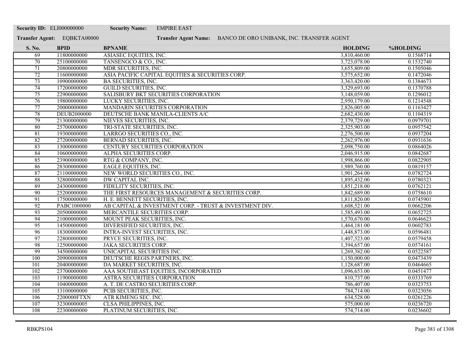| <b>Security ID: ELI000000000</b> |                             | <b>Security Name:</b><br><b>EMPIRE EAST</b>                    |                |           |
|----------------------------------|-----------------------------|----------------------------------------------------------------|----------------|-----------|
|                                  | Transfer Agent: EQBKTA00000 | Transfer Agent Name: BANCO DE ORO UNIBANK, INC. TRANSFER AGENT |                |           |
| S. No.                           | <b>BPID</b>                 | <b>BPNAME</b>                                                  | <b>HOLDING</b> | %HOLDING  |
| 69                               | 11800000000                 | ASIASEC EQUITIES, INC.                                         | 3,810,460.00   | 0.1568714 |
| 70                               | 25100000000                 | TANSENGCO & CO., INC.                                          | 3,723,078.00   | 0.1532740 |
| 71                               | 20800000000                 | MDR SECURITIES, INC.                                           | 3,655,809.00   | 0.1505046 |
| 72                               | 11600000000                 | ASIA PACIFIC CAPITAL EQUITIES & SECURITIES CORP.               | 3,575,652.00   | 0.1472046 |
| 73                               | 10900000000                 | <b>BA SECURITIES, INC.</b>                                     | 3,363,420.00   | 0.1384673 |
| $\overline{74}$                  | 17200000000                 | <b>GUILD SECURITIES, INC.</b>                                  | 3,329,693.00   | 0.1370788 |
| 75                               | 22900000000                 | SALISBURY BKT SECURITIES CORPORATION                           | 3,148,059.00   | 0.1296012 |
| 76                               | 19800000000                 | LUCKY SECURITIES, INC.                                         | 2,950,179.00   | 0.1214548 |
| 77                               | 20000000000                 | MANDARIN SECURITIES CORPORATION                                | 2,826,005.00   | 0.1163427 |
| 78                               | <b>DEUB2000000</b>          | DEUTSCHE BANK MANILA-CLIENTS A/C                               | 2,682,430.00   | 0.1104319 |
| 79                               | 21300000000                 | NIEVES SECURITIES, INC.                                        | 2,379,729.00   | 0.0979701 |
| 80                               | 25700000000                 | TRI-STATE SECURITIES, INC.                                     | 2,325,903.00   | 0.0957542 |
| 81                               | 19300000000                 | LARRGO SECURITIES CO., INC.                                    | 2,276,500.00   | 0.0937204 |
| 82                               | 27200000000                 | <b>BERNAD SECURITIES, INC.</b>                                 | 2,262,976.00   | 0.0931636 |
| 83                               | 13000000000                 | CENTURY SECURITIES CORPORATION                                 | 2,098,750.00   | 0.0864026 |
| 84                               | 10600000000                 | ALPHA SECURITIES CORP.                                         | 2,046,915.00   | 0.0842687 |
| 85                               | 23900000000                 | RTG & COMPANY, INC.                                            | 1,998,866.00   | 0.0822905 |
| 86                               | 28300000000                 | <b>EAGLE EQUITIES, INC.</b>                                    | 1,989,760.00   | 0.0819157 |
| 87                               | 21100000000                 | NEW WORLD SECURITIES CO., INC.                                 | 1,901,264.00   | 0.0782724 |
| 88                               | 32800000000                 | <b>DW CAPITAL INC.</b>                                         | 1,895,432.00   | 0.0780323 |
| 89                               | 24300000000                 | FIDELITY SECURITIES, INC.                                      | 1,851,218.00   | 0.0762121 |
| 90                               | 25200000000                 | THE FIRST RESOURCES MANAGEMENT & SECURITIES CORP.              | 1,842,689.00   | 0.0758610 |
| 91                               | 17500000000                 | H. E. BENNETT SECURITIES, INC.                                 | 1,811,820.00   | 0.0745901 |
| $\overline{92}$                  | PABC1000000                 | AB CAPITAL & INVESTMENT CORP. - TRUST & INVESTMENT DIV.        | 1,608,521.00   | 0.0662206 |
| 93                               | 20500000000                 | MERCANTILE SECURITIES CORP.                                    | 1,585,493.00   | 0.0652725 |
| 94                               | 21000000000                 | MOUNT PEAK SECURITIES, INC.                                    | 1,570,670.00   | 0.0646623 |
| 95                               | 14500000000                 | DIVERSIFIED SECURITIES, INC.                                   | 1,464,181.00   | 0.0602783 |
| 96                               | 18300000000                 | <b>INTRA-INVEST SECURITIES, INC.</b>                           | 1,448,873.00   | 0.0596481 |
| 97                               | 22800000000                 | PRYCE SECURITIES, INC.                                         | 1,407,523.00   | 0.0579458 |
| 98                               | 12500000000                 | <b>JAKA SECURITIES CORP.</b>                                   | 1,394,657.00   | 0.0574161 |
| 99                               | 34500000000                 | UNICAPITAL SECURITIES INC.                                     | 1,269,382.00   | 0.0522587 |
| 100                              | 20900000008                 | DEUTSCHE REGIS PARTNERS, INC.                                  | 1,150,000.00   | 0.0473439 |
| 101                              | 20400000000                 | DA MARKET SECURITIES, INC.                                     | 1,128,687.00   | 0.0464665 |
| 102                              | 23700000000                 | AAA SOUTHEAST EQUITIES, INCORPORATED                           | 1,096,653.00   | 0.0451477 |
| 103                              | 11900000000                 | ASTRA SECURITIES CORPORATION                                   | 810,737.00     | 0.0333769 |
| 104                              | 10400000000                 | A. T. DE CASTRO SECURITIES CORP.                               | 786,407.00     | 0.0323753 |
| 105                              | 13100000000                 | PCIB SECURITIES, INC.                                          | 784,714.00     | 0.0323056 |
| 106                              | 2200000FTXN                 | ATR KIMENG SEC. INC.                                           | 634,528.00     | 0.0261226 |
| 107                              | 32300000005                 | CLSA PHILIPPINES, INC.                                         | 575,000.00     | 0.0236720 |
| 108                              | 22300000000                 | PLATINUM SECURITIES, INC.                                      | 574,714.00     | 0.0236602 |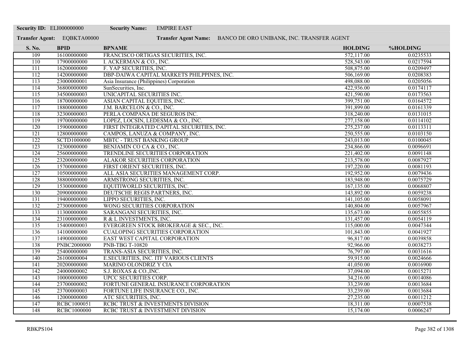| <b>Security ID: ELI000000000</b> |                             | <b>Security Name:</b><br><b>EMPIRE EAST</b>                    |                |           |
|----------------------------------|-----------------------------|----------------------------------------------------------------|----------------|-----------|
|                                  | Transfer Agent: EQBKTA00000 | Transfer Agent Name: BANCO DE ORO UNIBANK, INC. TRANSFER AGENT |                |           |
| S. No.                           | <b>BPID</b>                 | <b>BPNAME</b>                                                  | <b>HOLDING</b> | %HOLDING  |
| 109                              | 16100000000                 | FRANCISCO ORTIGAS SECURITIES, INC.                             | 572,117.00     | 0.0235533 |
| 110                              | 17900000000                 | I. ACKERMAN & CO., INC.                                        | 528,543.00     | 0.0217594 |
| 111                              | 16200000000                 | F. YAP SECURITIES, INC.                                        | 508,875.00     | 0.0209497 |
| 112                              | 14200000000                 | DBP-DAIWA CAPITAL MARKETS PHILPPINES, INC.                     | 506,169.00     | 0.0208383 |
| $\overline{113}$                 | 23000000001                 | Asia Insurance (Philippines) Corporation                       | 498,088.00     | 0.0205056 |
| 114                              | 36800000000                 | SunSecurities, Inc.                                            | 422,936.00     | 0.0174117 |
| 115                              | 34500000003                 | UNICAPITAL SECURITIES INC.                                     | 421,590.00     | 0.0173563 |
| 116                              | 18700000000                 | ASIAN CAPITAL EQUITIES, INC.                                   | 399,751.00     | 0.0164572 |
| 117                              | 18800000000                 | J.M. BARCELON & CO., INC.                                      | 391,899.00     | 0.0161339 |
| 118                              | 32300000003                 | PERLA COMPAÑA DE SEGUROS INC.                                  | 318,240.00     | 0.0131015 |
| $\overline{119}$                 | 19700000000                 | LOPEZ, LOCSIN, LEDESMA & CO., INC.                             | 277,158.00     | 0.0114102 |
| 120                              | 15900000000                 | FIRST INTEGRATED CAPITAL SECURITIES, INC.                      | 275,237.00     | 0.0113311 |
| 121                              | 12800000000                 | CAMPOS, LANUZA & COMPANY, INC.                                 | 250,555.00     | 0.0103150 |
| 122                              | <b>SCTD1000000</b>          | <b>MBTC - TRUST BANKING GROUP</b>                              | 243,013.00     | 0.0100045 |
| 123                              | 12300000000                 | BENJAMIN CO CA & CO., INC.                                     | 234,866.00     | 0.0096691 |
| 124                              | 25600000000                 | TRENDLINE SECURITIES CORPORATION                               | 221,402.00     | 0.0091148 |
| 125                              | 23200000000                 | ALAKOR SECURITIES CORPORATION                                  | 213,578.00     | 0.0087927 |
| 126                              | 15700000000                 | FIRST ORIENT SECURITIES, INC.                                  | 197,220.00     | 0.0081193 |
| 127                              | 10500000000                 | ALL ASIA SECURITIES MANAGEMENT CORP.                           | 192,952.00     | 0.0079436 |
| 128                              | 38800000000                 | ARMSTRONG SECURITIES, INC.                                     | 183,948.00     | 0.0075729 |
| 129                              | 15300000000                 | EQUITIWORLD SECURITIES, INC.                                   | 167,135.00     | 0.0068807 |
| 130                              | 20900000000                 | DEUTSCHE REGIS PARTNERS, INC.                                  | 143,892.00     | 0.0059238 |
| 131                              | 19400000000                 | LIPPO SECURITIES, INC.                                         | 141,105.00     | 0.0058091 |
| 132                              | 27300000000                 | WONG SECURITIES CORPORATION                                    | 140,804.00     | 0.0057967 |
| 133                              | 11300000000                 | SARANGANI SECURITIES, INC.                                     | 135,673.00     | 0.0055855 |
| 134                              | 23100000000                 | R & L INVESTMENTS, INC.                                        | 131,457.00     | 0.0054119 |
| 135                              | 15400000003                 | EVERGREEN STOCK BROKERAGE & SEC., INC.                         | 115,000.00     | 0.0047344 |
| 136                              | 14100000000                 | <b>CUALOPING SECURITIES CORPORATION</b>                        | 101,843.00     | 0.0041927 |
| 137                              | 14900000000                 | EAST WEST CAPITAL CORPORATION                                  | 96,817.00      | 0.0039858 |
| 138                              | <b>PNBC2000000</b>          | <b>PNB-TBG T-10820</b>                                         | 92,966.00      | 0.0038273 |
| 139                              | 25400000000                 | TRANS-ASIA SECURITIES, INC.                                    | 76,797.00      | 0.0031616 |
| 140                              | 26100000004                 | <b>E.SECURITIES, INC. ITF VARIOUS CLIENTS</b>                  | 59,915.00      | 0.0024666 |
| 141                              | 20200000000                 | <b>MARINO OLONDRIZ Y CIA</b>                                   | 41,050.00      | 0.0016900 |
| 142                              | 24000000002                 | S.J. ROXAS & CO., INC.                                         | 37,094.00      | 0.0015271 |
| 143                              | 10000000000                 | UPCC SECURITIES CORP.                                          | 34,216.00      | 0.0014086 |
| 144                              | 23700000002                 | FORTUNE GENERAL INSURANCE CORPORATION                          | 33,239.00      | 0.0013684 |
| $\overline{145}$                 | 23700000003                 | FORTUNE LIFE INSURANCE CO., INC.                               | 33,239.00      | 0.0013684 |
| 146                              | 12000000000                 | ATC SECURITIES, INC.                                           | 27,235.00      | 0.0011212 |
| 147                              | RCBC1000051                 | RCBC TRUST & INVESTMENTS DIVISION                              | 18,311.00      | 0.0007538 |
| 148                              | <b>RCBC1000000</b>          | RCBC TRUST & INVESTMENT DIVISION                               | 15,174.00      | 0.0006247 |